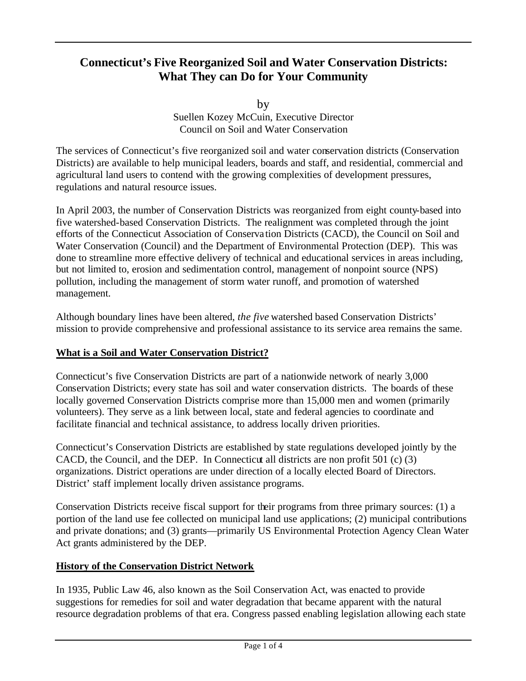# **Connecticut's Five Reorganized Soil and Water Conservation Districts: What They can Do for Your Community**

by Suellen Kozey McCuin, Executive Director Council on Soil and Water Conservation

The services of Connecticut's five reorganized soil and water conservation districts (Conservation Districts) are available to help municipal leaders, boards and staff, and residential, commercial and agricultural land users to contend with the growing complexities of development pressures, regulations and natural resource issues.

In April 2003, the number of Conservation Districts was reorganized from eight county-based into five watershed-based Conservation Districts. The realignment was completed through the joint efforts of the Connecticut Association of Conserva tion Districts (CACD), the Council on Soil and Water Conservation (Council) and the Department of Environmental Protection (DEP). This was done to streamline more effective delivery of technical and educational services in areas including, but not limited to, erosion and sedimentation control, management of nonpoint source (NPS) pollution, including the management of storm water runoff, and promotion of watershed management.

Although boundary lines have been altered, *the five* watershed based Conservation Districts' mission to provide comprehensive and professional assistance to its service area remains the same.

# **What is a Soil and Water Conservation District?**

Connecticut's five Conservation Districts are part of a nationwide network of nearly 3,000 Conservation Districts; every state has soil and water conservation districts. The boards of these locally governed Conservation Districts comprise more than 15,000 men and women (primarily volunteers). They serve as a link between local, state and federal agencies to coordinate and facilitate financial and technical assistance, to address locally driven priorities.

Connecticut's Conservation Districts are established by state regulations developed jointly by the CACD, the Council, and the DEP. In Connecticut all districts are non profit 501 (c) (3) organizations. District operations are under direction of a locally elected Board of Directors. District' staff implement locally driven assistance programs.

Conservation Districts receive fiscal support for their programs from three primary sources: (1) a portion of the land use fee collected on municipal land use applications; (2) municipal contributions and private donations; and (3) grants—primarily US Environmental Protection Agency Clean Water Act grants administered by the DEP.

### **History of the Conservation District Network**

In 1935, Public Law 46, also known as the Soil Conservation Act, was enacted to provide suggestions for remedies for soil and water degradation that became apparent with the natural resource degradation problems of that era. Congress passed enabling legislation allowing each state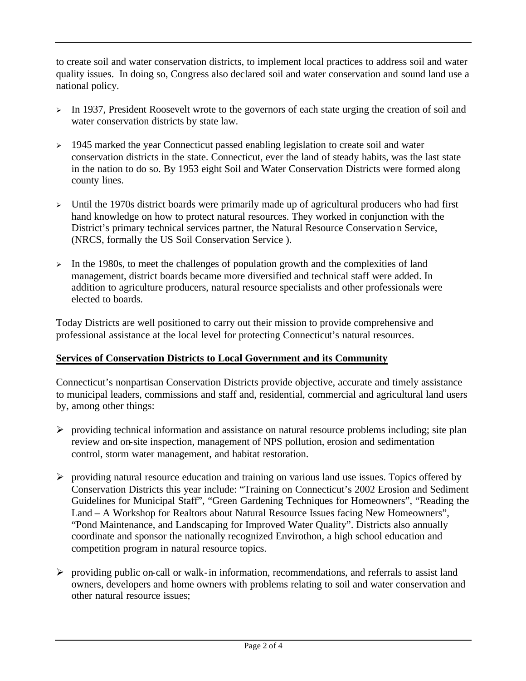to create soil and water conservation districts, to implement local practices to address soil and water quality issues. In doing so, Congress also declared soil and water conservation and sound land use a national policy.

- $\triangleright$  In 1937, President Roosevelt wrote to the governors of each state urging the creation of soil and water conservation districts by state law.
- $\geq$  1945 marked the year Connecticut passed enabling legislation to create soil and water conservation districts in the state. Connecticut, ever the land of steady habits, was the last state in the nation to do so. By 1953 eight Soil and Water Conservation Districts were formed along county lines.
- $\geq$  Until the 1970s district boards were primarily made up of agricultural producers who had first hand knowledge on how to protect natural resources. They worked in conjunction with the District's primary technical services partner, the Natural Resource Conservation Service, (NRCS, formally the US Soil Conservation Service ).
- $\triangleright$  In the 1980s, to meet the challenges of population growth and the complexities of land management, district boards became more diversified and technical staff were added. In addition to agriculture producers, natural resource specialists and other professionals were elected to boards.

Today Districts are well positioned to carry out their mission to provide comprehensive and professional assistance at the local level for protecting Connecticut's natural resources.

# **Services of Conservation Districts to Local Government and its Community**

Connecticut's nonpartisan Conservation Districts provide objective, accurate and timely assistance to municipal leaders, commissions and staff and, residential, commercial and agricultural land users by, among other things:

- $\triangleright$  providing technical information and assistance on natural resource problems including; site plan review and on-site inspection, management of NPS pollution, erosion and sedimentation control, storm water management, and habitat restoration.
- $\triangleright$  providing natural resource education and training on various land use issues. Topics offered by Conservation Districts this year include: "Training on Connecticut's 2002 Erosion and Sediment Guidelines for Municipal Staff", "Green Gardening Techniques for Homeowners", "Reading the Land – A Workshop for Realtors about Natural Resource Issues facing New Homeowners", "Pond Maintenance, and Landscaping for Improved Water Quality". Districts also annually coordinate and sponsor the nationally recognized Envirothon, a high school education and competition program in natural resource topics.
- $\triangleright$  providing public on-call or walk-in information, recommendations, and referrals to assist land owners, developers and home owners with problems relating to soil and water conservation and other natural resource issues;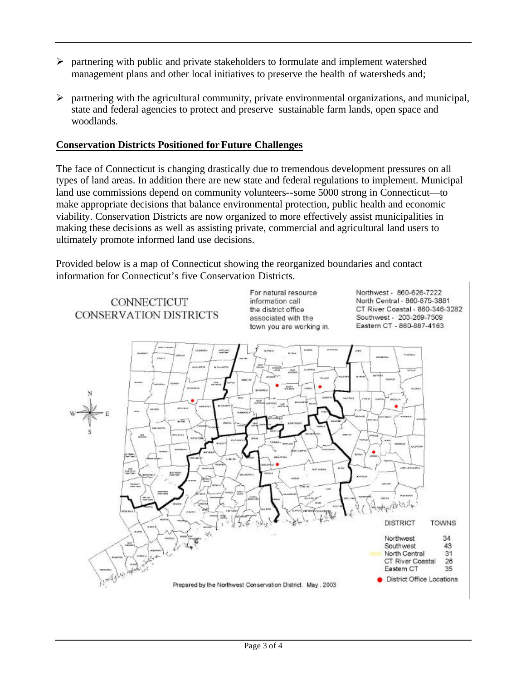- $\triangleright$  partnering with public and private stakeholders to formulate and implement watershed management plans and other local initiatives to preserve the health of watersheds and;
- $\triangleright$  partnering with the agricultural community, private environmental organizations, and municipal, state and federal agencies to protect and preserve sustainable farm lands, open space and woodlands.

### **Conservation Districts Positioned for Future Challenges**

The face of Connecticut is changing drastically due to tremendous development pressures on all types of land areas. In addition there are new state and federal regulations to implement. Municipal land use commissions depend on community volunteers--some 5000 strong in Connecticut—to make appropriate decisions that balance environmental protection, public health and economic viability. Conservation Districts are now organized to more effectively assist municipalities in making these decisions as well as assisting private, commercial and agricultural land users to ultimately promote informed land use decisions.

Provided below is a map of Connecticut showing the reorganized boundaries and contact information for Connecticut's five Conservation Districts.

**CONNECTICUT CONSERVATION DISTRICTS**  For natural resource information call the district office associated with the town you are working in. Northwest - 860-626-7222 North Central - 860-875-3881 CT River Coastal - 860-346-3282 Southwest - 203-269-7509 Eastern CT - 860-887-4163